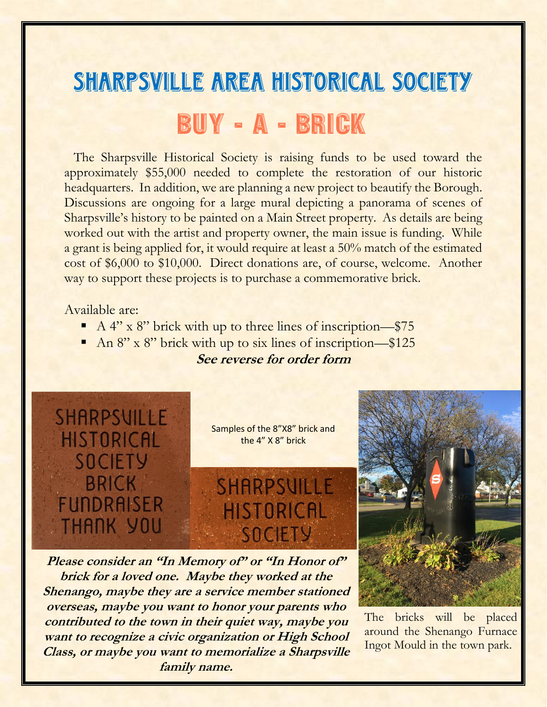## SHARPSVILLE AREA HISTORICAL SOCIETY BUY - A - BRICK

 The Sharpsville Historical Society is raising funds to be used toward the approximately \$55,000 needed to complete the restoration of our historic headquarters. In addition, we are planning a new project to beautify the Borough. Discussions are ongoing for a large mural depicting a panorama of scenes of Sharpsville's history to be painted on a Main Street property. As details are being worked out with the artist and property owner, the main issue is funding. While a grant is being applied for, it would require at least a 50% match of the estimated cost of \$6,000 to \$10,000. Direct donations are, of course, welcome. Another way to support these projects is to purchase a commemorative brick.

## Available are:

- A 4" x 8" brick with up to three lines of inscription—\$75
- An 8" x 8" brick with up to six lines of inscription—\$125

## **See reverse for order form**



**Please consider an "In Memory of" or "In Honor of" brick for a loved one. Maybe they worked at the Shenango, maybe they are a service member stationed overseas, maybe you want to honor your parents who contributed to the town in their quiet way, maybe you want to recognize a civic organization or High School Class, or maybe you want to memorialize a Sharpsville family name.**

The bricks will be placed around the Shenango Furnace Ingot Mould in the town park.